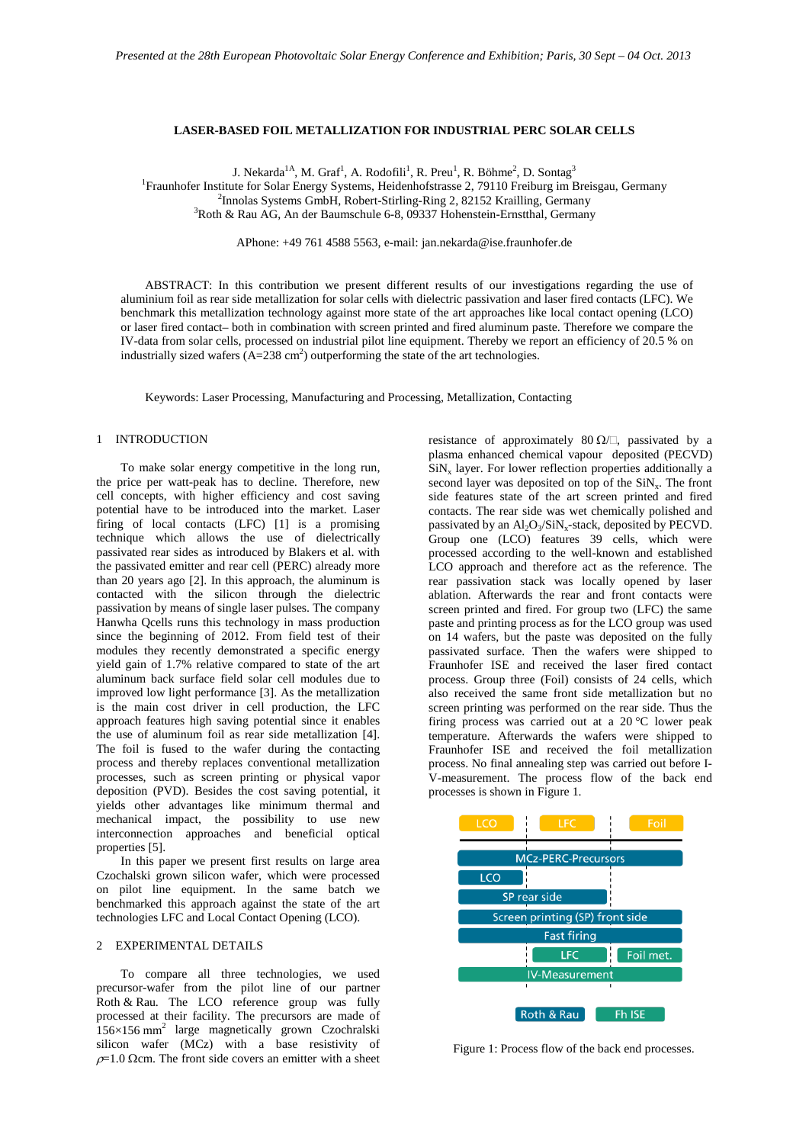### **LASER-BASED FOIL METALLIZATION FOR INDUSTRIAL PERC SOLAR CELLS**

J. Nekarda $^{1A}$ , M. Graf $^{1}$ , A. Rodofili $^{1}$ , R. Preu $^{1}$ , R. Böhme $^{2}$ , D. Sontag $^{3}$ 

<sup>1</sup> Fraunhofer Institute for Solar Energy Systems, Heidenhofstrasse 2, 79110 Freiburg im Breisgau, Germany<br><sup>2</sup> Innolas Systems GmbH, Robert-Stirling Ring 2, 82152 Krailling Germany

<sup>2</sup>Innolas Systems GmbH, Robert-Stirling-Ring 2, 82152 Krailling, Germany

<sup>3</sup>Roth & Rau AG, An der Baumschule 6-8, 09337 Hohenstein-Ernstthal, Germany

APhone: +49 761 4588 5563, e-mail[: jan.nekarda@ise.fraunhofer.de](mailto:jan.nekarda@ise.fraunhofer.de)

ABSTRACT: In this contribution we present different results of our investigations regarding the use of aluminium foil as rear side metallization for solar cells with dielectric passivation and laser fired contacts (LFC). We benchmark this metallization technology against more state of the art approaches like local contact opening (LCO) or laser fired contact– both in combination with screen printed and fired aluminum paste. Therefore we compare the IV-data from solar cells, processed on industrial pilot line equipment. Thereby we report an efficiency of 20.5 % on industrially sized wafers  $(A=238 \text{ cm}^2)$  outperforming the state of the art technologies.

Keywords: Laser Processing, Manufacturing and Processing, Metallization, Contacting

## 1 INTRODUCTION

To make solar energy competitive in the long run, the price per watt-peak has to decline. Therefore, new cell concepts, with higher efficiency and cost saving potential have to be introduced into the market. Laser firing of local contacts (LFC) [1] is a promising technique which allows the use of dielectrically passivated rear sides as introduced by Blakers et al. with the passivated emitter and rear cell (PERC) already more than 20 years ago [2]. In this approach, the aluminum is contacted with the silicon through the dielectric passivation by means of single laser pulses. The company Hanwha Qcells runs this technology in mass production since the beginning of 2012. From field test of their modules they recently demonstrated a specific energy yield gain of 1.7% relative compared to state of the art aluminum back surface field solar cell modules due to improved low light performance [3]. As the metallization is the main cost driver in cell production, the LFC approach features high saving potential since it enables the use of aluminum foil as rear side metallization [4]. The foil is fused to the wafer during the contacting process and thereby replaces conventional metallization processes, such as screen printing or physical vapor deposition (PVD). Besides the cost saving potential, it yields other advantages like minimum thermal and mechanical impact, the possibility to use new interconnection approaches and beneficial optical properties [5].

In this paper we present first results on large area Czochalski grown silicon wafer, which were processed on pilot line equipment. In the same batch we benchmarked this approach against the state of the art technologies LFC and Local Contact Opening (LCO).

# 2 EXPERIMENTAL DETAILS

To compare all three technologies, we used precursor-wafer from the pilot line of our partner Roth & Rau. The LCO reference group was fully processed at their facility. The precursors are made of  $156\times156$  mm<sup>2</sup> large magnetically grown Czochralski silicon wafer (MCz) with a base resistivity of  $\rho$ =1.0 Ωcm. The front side covers an emitter with a sheet resistance of approximately 80  $\Omega/\square$ , passivated by a plasma enhanced chemical vapour deposited (PECVD)  $\text{SiN}_x$  layer. For lower reflection properties additionally a second layer was deposited on top of the  $\text{SiN}_x$ . The front side features state of the art screen printed and fired contacts. The rear side was wet chemically polished and passivated by an  $\text{Al}_2\text{O}_3/\text{SiN}_x$ -stack, deposited by PECVD. Group one (LCO) features 39 cells, which were processed according to the well-known and established LCO approach and therefore act as the reference. The rear passivation stack was locally opened by laser ablation. Afterwards the rear and front contacts were screen printed and fired. For group two (LFC) the same paste and printing process as for the LCO group was used on 14 wafers, but the paste was deposited on the fully passivated surface. Then the wafers were shipped to Fraunhofer ISE and received the laser fired contact process. Group three (Foil) consists of 24 cells, which also received the same front side metallization but no screen printing was performed on the rear side. Thus the firing process was carried out at a 20 °C lower peak temperature. Afterwards the wafers were shipped to Fraunhofer ISE and received the foil metallization process. No final annealing step was carried out before I-V-measurement. The process flow of the back end processes is shown i[n Figure 1.](#page-0-0)



<span id="page-0-0"></span>Figure 1: Process flow of the back end processes.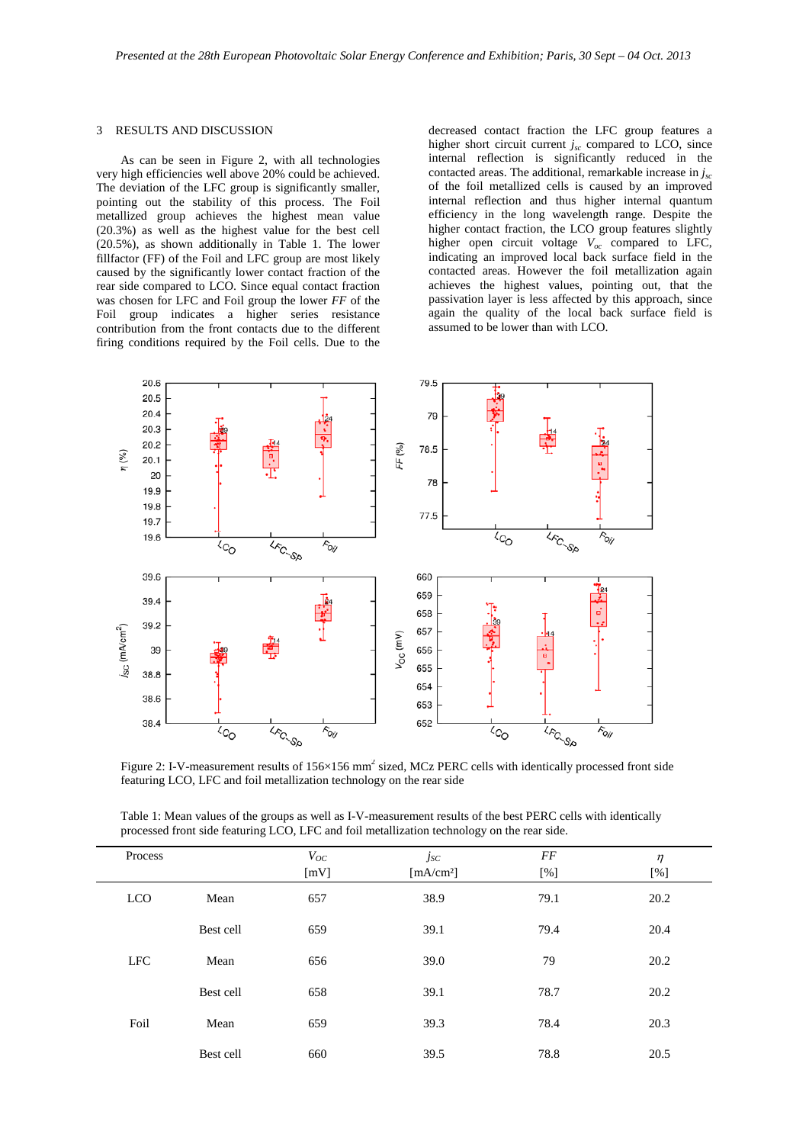#### 3 RESULTS AND DISCUSSION

As can be seen in [Figure 2,](#page-1-0) with all technologies very high efficiencies well above 20% could be achieved. The deviation of the LFC group is significantly smaller, pointing out the stability of this process. The Foil metallized group achieves the highest mean value (20.3%) as well as the highest value for the best cell (20.5%), as shown additionally in [Table 1.](#page-1-1) The lower fillfactor (FF) of the Foil and LFC group are most likely caused by the significantly lower contact fraction of the rear side compared to LCO. Since equal contact fraction was chosen for LFC and Foil group the lower *FF* of the Foil group indicates a higher series resistance contribution from the front contacts due to the different firing conditions required by the Foil cells. Due to the

decreased contact fraction the LFC group features a higher short circuit current  $j_{sc}$  compared to LCO, since internal reflection is significantly reduced in the contacted areas. The additional, remarkable increase in *jsc* of the foil metallized cells is caused by an improved internal reflection and thus higher internal quantum efficiency in the long wavelength range. Despite the higher contact fraction, the LCO group features slightly higher open circuit voltage  $V_{oc}$  compared to LFC, indicating an improved local back surface field in the contacted areas. However the foil metallization again achieves the highest values, pointing out, that the passivation layer is less affected by this approach, since again the quality of the local back surface field is assumed to be lower than with LCO.



<span id="page-1-0"></span>Figure 2: I-V-measurement results of 156×156 mm<sup>2</sup> sized, MCz PERC cells with identically processed front side featuring LCO, LFC and foil metallization technology on the rear side

<span id="page-1-1"></span>

| Table 1: Mean values of the groups as well as I-V-measurement results of the best PERC cells with identically |
|---------------------------------------------------------------------------------------------------------------|
| processed front side featuring LCO, LFC and foil metallization technology on the rear side.                   |

| Process    |           | $V_{OC}$<br>[mV] | $j_{\mathcal{S}\mathcal{C}}$<br>[mA/cm <sup>2</sup> ] | FF<br>[%] | $\eta$<br>[%] |
|------------|-----------|------------------|-------------------------------------------------------|-----------|---------------|
| LCO        | Mean      | 657              | 38.9                                                  | 79.1      | 20.2          |
|            | Best cell | 659              | 39.1                                                  | 79.4      | 20.4          |
| <b>LFC</b> | Mean      | 656              | 39.0                                                  | 79        | 20.2          |
|            | Best cell | 658              | 39.1                                                  | 78.7      | 20.2          |
| Foil       | Mean      | 659              | 39.3                                                  | 78.4      | 20.3          |
|            | Best cell | 660              | 39.5                                                  | 78.8      | 20.5          |